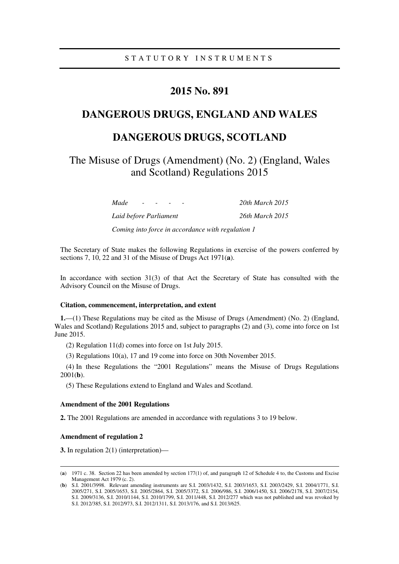# **2015 No. 891**

## **DANGEROUS DRUGS, ENGLAND AND WALES**

# **DANGEROUS DRUGS, SCOTLAND**

The Misuse of Drugs (Amendment) (No. 2) (England, Wales and Scotland) Regulations 2015

> *Made - - - - 20th March 2015 Laid before Parliament 26th March 2015*

*Coming into force in accordance with regulation 1* 

The Secretary of State makes the following Regulations in exercise of the powers conferred by sections 7, 10, 22 and 31 of the Misuse of Drugs Act 1971(**a**).

In accordance with section 31(3) of that Act the Secretary of State has consulted with the Advisory Council on the Misuse of Drugs.

## **Citation, commencement, interpretation, and extent**

**1.**—(1) These Regulations may be cited as the Misuse of Drugs (Amendment) (No. 2) (England, Wales and Scotland) Regulations 2015 and, subject to paragraphs (2) and (3), come into force on 1st June 2015.

(2) Regulation 11(d) comes into force on 1st July 2015.

(3) Regulations 10(a), 17 and 19 come into force on 30th November 2015.

(4) In these Regulations the "2001 Regulations" means the Misuse of Drugs Regulations 2001(**b**).

(5) These Regulations extend to England and Wales and Scotland.

#### **Amendment of the 2001 Regulations**

**2.** The 2001 Regulations are amended in accordance with regulations 3 to 19 below.

## **Amendment of regulation 2**

<u>.</u>

**3.** In regulation 2(1) (interpretation)—

<sup>(</sup>**a**) 1971 c. 38. Section 22 has been amended by section 177(1) of, and paragraph 12 of Schedule 4 to, the Customs and Excise Management Act 1979 (c. 2).

<sup>(</sup>**b**) S.I. 2001/3998. Relevant amending instruments are S.I. 2003/1432, S.I. 2003/1653, S.I. 2003/2429, S.I. 2004/1771, S.I. 2005/271, S.I. 2005/1653, S.I. 2005/2864, S.I. 2005/3372, S.I. 2006/986, S.I. 2006/1450, S.I. 2006/2178, S.I. 2007/2154, S.I. 2009/3136, S.I. 2010/1144, S.I. 2010/1799, S.I. 2011/448, S.I. 2012/277 which was not published and was revoked by S.I. 2012/385, S.I. 2012/973, S.I. 2012/1311, S.I. 2013/176, and S.I. 2013/625.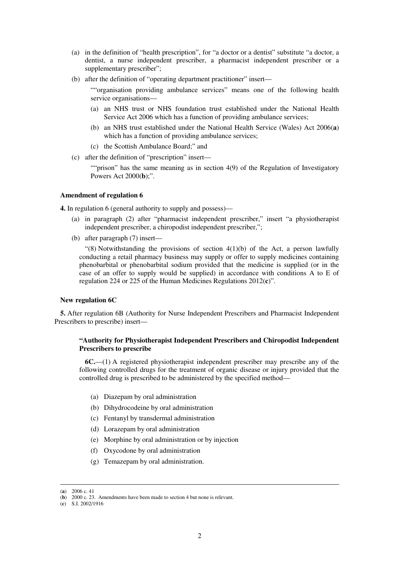- (a) in the definition of "health prescription", for "a doctor or a dentist" substitute "a doctor, a dentist, a nurse independent prescriber, a pharmacist independent prescriber or a supplementary prescriber";
- (b) after the definition of "operating department practitioner" insert—

""organisation providing ambulance services" means one of the following health service organisations—

- (a) an NHS trust or NHS foundation trust established under the National Health Service Act 2006 which has a function of providing ambulance services;
- (b) an NHS trust established under the National Health Service (Wales) Act 2006(**a**) which has a function of providing ambulance services;
- (c) the Scottish Ambulance Board;" and
- (c) after the definition of "prescription" insert—

""prison" has the same meaning as in section 4(9) of the Regulation of Investigatory Powers Act 2000(**b**);".

#### **Amendment of regulation 6**

**4.** In regulation 6 (general authority to supply and possess)—

- (a) in paragraph (2) after "pharmacist independent prescriber," insert "a physiotherapist independent prescriber, a chiropodist independent prescriber,";
- (b) after paragraph (7) insert—

"(8) Notwithstanding the provisions of section  $4(1)(b)$  of the Act, a person lawfully conducting a retail pharmacy business may supply or offer to supply medicines containing phenobarbital or phenobarbital sodium provided that the medicine is supplied (or in the case of an offer to supply would be supplied) in accordance with conditions A to E of regulation 224 or 225 of the Human Medicines Regulations 2012(**c**)".

#### **New regulation 6C**

**5.** After regulation 6B (Authority for Nurse Independent Prescribers and Pharmacist Independent Prescribers to prescribe) insert—

## **"Authority for Physiotherapist Independent Prescribers and Chiropodist Independent Prescribers to prescribe**

**6C.**—(1) A registered physiotherapist independent prescriber may prescribe any of the following controlled drugs for the treatment of organic disease or injury provided that the controlled drug is prescribed to be administered by the specified method—

- (a) Diazepam by oral administration
- (b) Dihydrocodeine by oral administration
- (c) Fentanyl by transdermal administration
- (d) Lorazepam by oral administration
- (e) Morphine by oral administration or by injection
- (f) Oxycodone by oral administration
- (g) Temazepam by oral administration.

<u>.</u>

<sup>(</sup>**a**) 2006 c. 41

<sup>(</sup>**b**) 2000 c. 23. Amendments have been made to section 4 but none is relevant.

<sup>(</sup>**c**) S.I. 2002/1916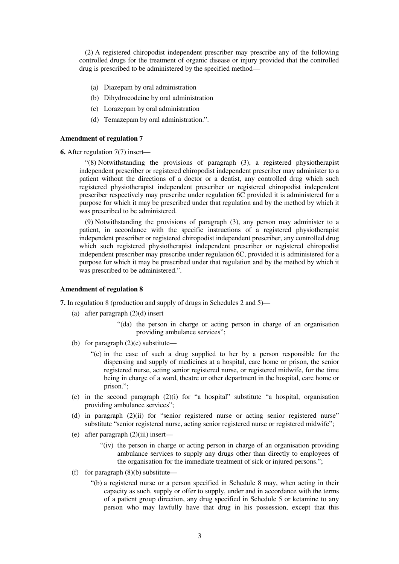(2) A registered chiropodist independent prescriber may prescribe any of the following controlled drugs for the treatment of organic disease or injury provided that the controlled drug is prescribed to be administered by the specified method—

- (a) Diazepam by oral administration
- (b) Dihydrocodeine by oral administration
- (c) Lorazepam by oral administration
- (d) Temazepam by oral administration.".

#### **Amendment of regulation 7**

**6.** After regulation 7(7) insert—

"(8) Notwithstanding the provisions of paragraph (3), a registered physiotherapist independent prescriber or registered chiropodist independent prescriber may administer to a patient without the directions of a doctor or a dentist, any controlled drug which such registered physiotherapist independent prescriber or registered chiropodist independent prescriber respectively may prescribe under regulation 6C provided it is administered for a purpose for which it may be prescribed under that regulation and by the method by which it was prescribed to be administered.

(9) Notwithstanding the provisions of paragraph (3), any person may administer to a patient, in accordance with the specific instructions of a registered physiotherapist independent prescriber or registered chiropodist independent prescriber, any controlled drug which such registered physiotherapist independent prescriber or registered chiropodist independent prescriber may prescribe under regulation 6C, provided it is administered for a purpose for which it may be prescribed under that regulation and by the method by which it was prescribed to be administered.".

#### **Amendment of regulation 8**

**7.** In regulation 8 (production and supply of drugs in Schedules 2 and 5)—

- (a) after paragraph (2)(d) insert
	- "(da) the person in charge or acting person in charge of an organisation providing ambulance services";
- (b) for paragraph (2)(e) substitute—
	- "(e) in the case of such a drug supplied to her by a person responsible for the dispensing and supply of medicines at a hospital, care home or prison, the senior registered nurse, acting senior registered nurse, or registered midwife, for the time being in charge of a ward, theatre or other department in the hospital, care home or prison.";
- (c) in the second paragraph (2)(i) for "a hospital" substitute "a hospital, organisation providing ambulance services";
- (d) in paragraph (2)(ii) for "senior registered nurse or acting senior registered nurse" substitute "senior registered nurse, acting senior registered nurse or registered midwife";
- (e) after paragraph (2)(iii) insert—
	- "(iv) the person in charge or acting person in charge of an organisation providing ambulance services to supply any drugs other than directly to employees of the organisation for the immediate treatment of sick or injured persons.";
- (f) for paragraph  $(8)(b)$  substitute—
	- "(b) a registered nurse or a person specified in Schedule 8 may, when acting in their capacity as such, supply or offer to supply, under and in accordance with the terms of a patient group direction, any drug specified in Schedule 5 or ketamine to any person who may lawfully have that drug in his possession, except that this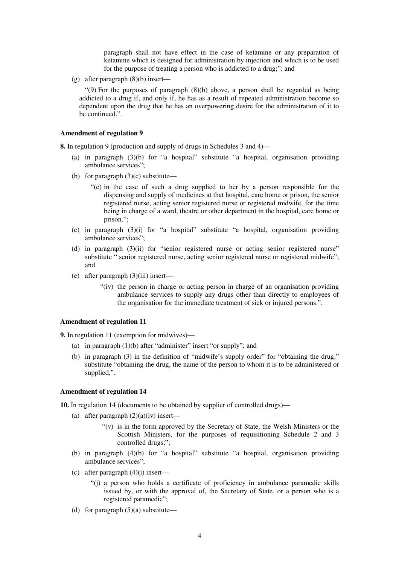paragraph shall not have effect in the case of ketamine or any preparation of ketamine which is designed for administration by injection and which is to be used for the purpose of treating a person who is addicted to a drug;"; and

(g) after paragraph (8)(b) insert—

" $(9)$  For the purposes of paragraph  $(8)(b)$  above, a person shall be regarded as being addicted to a drug if, and only if, he has as a result of repeated administration become so dependent upon the drug that he has an overpowering desire for the administration of it to be continued.".

#### **Amendment of regulation 9**

**8.** In regulation 9 (production and supply of drugs in Schedules 3 and 4)—

- (a) in paragraph (3)(b) for "a hospital" substitute "a hospital, organisation providing ambulance services";
- (b) for paragraph  $(3)(c)$  substitute—
	- "(c) in the case of such a drug supplied to her by a person responsible for the dispensing and supply of medicines at that hospital, care home or prison, the senior registered nurse, acting senior registered nurse or registered midwife, for the time being in charge of a ward, theatre or other department in the hospital, care home or prison.";
- (c) in paragraph (3)(i) for "a hospital" substitute "a hospital, organisation providing ambulance services";
- (d) in paragraph (3)(ii) for "senior registered nurse or acting senior registered nurse" substitute " senior registered nurse, acting senior registered nurse or registered midwife"; and
- (e) after paragraph (3)(iii) insert—
	- "(iv) the person in charge or acting person in charge of an organisation providing ambulance services to supply any drugs other than directly to employees of the organisation for the immediate treatment of sick or injured persons.".

#### **Amendment of regulation 11**

**9.** In regulation 11 (exemption for midwives)—

- (a) in paragraph (1)(b) after "administer" insert "or supply"; and
- (b) in paragraph (3) in the definition of "midwife's supply order" for "obtaining the drug," substitute "obtaining the drug, the name of the person to whom it is to be administered or supplied,".

## **Amendment of regulation 14**

**10.** In regulation 14 (documents to be obtained by supplier of controlled drugs)—

- (a) after paragraph  $(2)(a)(iv)$  insert—
	- "(v) is in the form approved by the Secretary of State, the Welsh Ministers or the Scottish Ministers, for the purposes of requisitioning Schedule 2 and 3 controlled drugs;";
- (b) in paragraph (4)(b) for "a hospital" substitute "a hospital, organisation providing ambulance services";
- (c) after paragraph (4)(i) insert—
	- "(j) a person who holds a certificate of proficiency in ambulance paramedic skills issued by, or with the approval of, the Secretary of State, or a person who is a registered paramedic";
- (d) for paragraph  $(5)(a)$  substitute—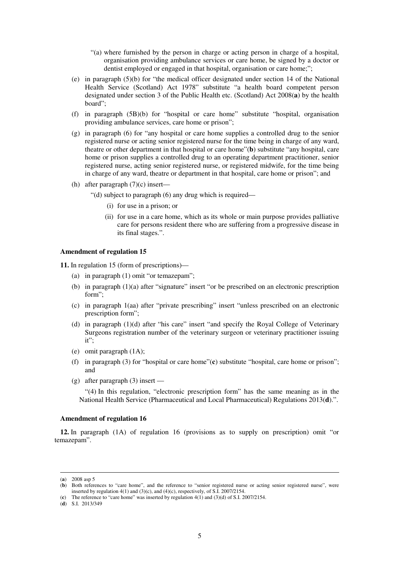- "(a) where furnished by the person in charge or acting person in charge of a hospital, organisation providing ambulance services or care home, be signed by a doctor or dentist employed or engaged in that hospital, organisation or care home;";
- (e) in paragraph (5)(b) for "the medical officer designated under section 14 of the National Health Service (Scotland) Act 1978" substitute "a health board competent person designated under section 3 of the Public Health etc. (Scotland) Act 2008(**a**) by the health board";
- (f) in paragraph (5B)(b) for "hospital or care home" substitute "hospital, organisation providing ambulance services, care home or prison";
- (g) in paragraph (6) for "any hospital or care home supplies a controlled drug to the senior registered nurse or acting senior registered nurse for the time being in charge of any ward, theatre or other department in that hospital or care home"(**b**) substitute "any hospital, care home or prison supplies a controlled drug to an operating department practitioner, senior registered nurse, acting senior registered nurse, or registered midwife, for the time being in charge of any ward, theatre or department in that hospital, care home or prison"; and
- (h) after paragraph (7)(c) insert—

"(d) subject to paragraph (6) any drug which is required—

- (i) for use in a prison; or
- (ii) for use in a care home, which as its whole or main purpose provides palliative care for persons resident there who are suffering from a progressive disease in its final stages.".

#### **Amendment of regulation 15**

**11.** In regulation 15 (form of prescriptions)—

- (a) in paragraph (1) omit "or temazepam";
- (b) in paragraph (1)(a) after "signature" insert "or be prescribed on an electronic prescription form";
- (c) in paragraph 1(aa) after "private prescribing" insert "unless prescribed on an electronic prescription form";
- (d) in paragraph (1)(d) after "his care" insert "and specify the Royal College of Veterinary Surgeons registration number of the veterinary surgeon or veterinary practitioner issuing it";
- (e) omit paragraph (1A);
- (f) in paragraph (3) for "hospital or care home"(**c**) substitute "hospital, care home or prison"; and
- (g) after paragraph (3) insert —

"(4) In this regulation, "electronic prescription form" has the same meaning as in the National Health Service (Pharmaceutical and Local Pharmaceutical) Regulations 2013(**d**).".

#### **Amendment of regulation 16**

**12.** In paragraph (1A) of regulation 16 (provisions as to supply on prescription) omit "or temazepam".

<u>.</u>

<sup>(</sup>**a**) 2008 asp 5

<sup>(</sup>**b**) Both references to "care home", and the reference to "senior registered nurse or acting senior registered nurse", were inserted by regulation  $4(1)$  and  $(3)(c)$ , and  $(4)(c)$ , respectively, of S.I. 2007/2154.

<sup>(</sup>**c**) The reference to "care home" was inserted by regulation 4(1) and (3)(d) of S.I. 2007/2154.

<sup>(</sup>**d**) S.I. 2013/349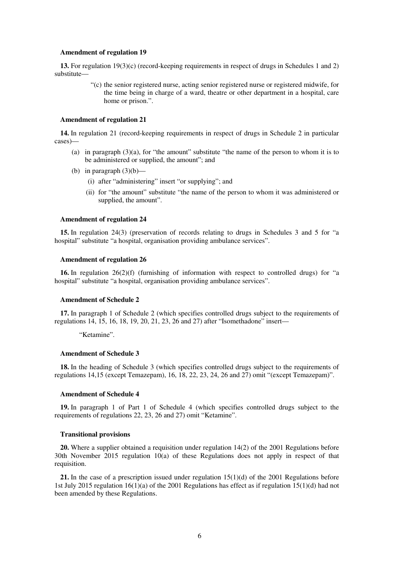#### **Amendment of regulation 19**

**13.** For regulation 19(3)(c) (record-keeping requirements in respect of drugs in Schedules 1 and 2) substitute—

> "(c) the senior registered nurse, acting senior registered nurse or registered midwife, for the time being in charge of a ward, theatre or other department in a hospital, care home or prison.".

#### **Amendment of regulation 21**

**14.** In regulation 21 (record-keeping requirements in respect of drugs in Schedule 2 in particular cases)—

- (a) in paragraph  $(3)(a)$ , for "the amount" substitute "the name of the person to whom it is to be administered or supplied, the amount"; and
- (b) in paragraph  $(3)(b)$ 
	- (i) after "administering" insert "or supplying"; and
	- (ii) for "the amount" substitute "the name of the person to whom it was administered or supplied, the amount".

#### **Amendment of regulation 24**

**15.** In regulation 24(3) (preservation of records relating to drugs in Schedules 3 and 5 for "a hospital" substitute "a hospital, organisation providing ambulance services".

#### **Amendment of regulation 26**

**16.** In regulation 26(2)(f) (furnishing of information with respect to controlled drugs) for "a hospital" substitute "a hospital, organisation providing ambulance services".

#### **Amendment of Schedule 2**

**17.** In paragraph 1 of Schedule 2 (which specifies controlled drugs subject to the requirements of regulations 14, 15, 16, 18, 19, 20, 21, 23, 26 and 27) after "Isomethadone" insert—

"Ketamine".

#### **Amendment of Schedule 3**

**18.** In the heading of Schedule 3 (which specifies controlled drugs subject to the requirements of regulations 14,15 (except Temazepam), 16, 18, 22, 23, 24, 26 and 27) omit "(except Temazepam)".

## **Amendment of Schedule 4**

**19.** In paragraph 1 of Part 1 of Schedule 4 (which specifies controlled drugs subject to the requirements of regulations 22, 23, 26 and 27) omit "Ketamine".

#### **Transitional provisions**

**20.** Where a supplier obtained a requisition under regulation 14(2) of the 2001 Regulations before 30th November 2015 regulation 10(a) of these Regulations does not apply in respect of that requisition.

**21.** In the case of a prescription issued under regulation 15(1)(d) of the 2001 Regulations before 1st July 2015 regulation 16(1)(a) of the 2001 Regulations has effect as if regulation 15(1)(d) had not been amended by these Regulations.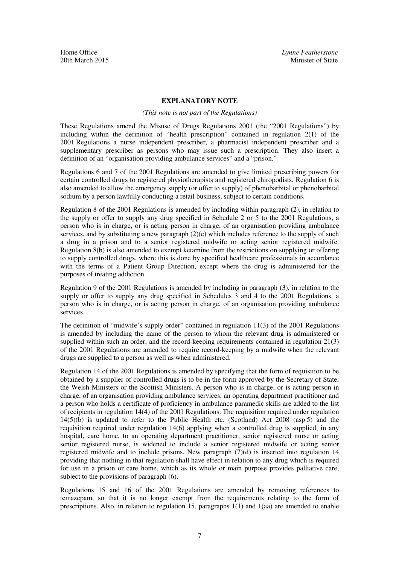## **EXPLANATORY NOTE**

#### *(This note is not part of the Regulations)*

These Regulations amend the Misuse of Drugs Regulations 2001 (the "2001 Regulations") by including within the definition of "health prescription" contained in regulation 2(1) of the 2001 Regulations a nurse independent prescriber, a pharmacist independent prescriber and a supplementary prescriber as persons who may issue such a prescription. They also insert a definition of an "organisation providing ambulance services" and a "prison."

Regulations 6 and 7 of the 2001 Regulations are amended to give limited prescribing powers for certain controlled drugs to registered physiotherapists and registered chiropodists. Regulation 6 is also amended to allow the emergency supply (or offer to supply) of phenobarbital or phenobarbital sodium by a person lawfully conducting a retail business, subject to certain conditions.

Regulation 8 of the 2001 Regulations is amended by including within paragraph (2), in relation to the supply or offer to supply any drug specified in Schedule 2 or 5 to the 2001 Regulations, a person who is in charge, or is acting person in charge, of an organisation providing ambulance services, and by substituting a new paragraph  $(2)(e)$  which includes reference to the supply of such a drug in a prison and to a senior registered midwife or acting senior registered midwife. Regulation 8(b) is also amended to exempt ketamine from the restrictions on supplying or offering to supply controlled drugs, where this is done by specified healthcare professionals in accordance with the terms of a Patient Group Direction, except where the drug is administered for the purposes of treating addiction.

Regulation 9 of the 2001 Regulations is amended by including in paragraph (3), in relation to the supply or offer to supply any drug specified in Schedules 3 and 4 to the 2001 Regulations, a person who is in charge, or is acting person in charge, of an organisation providing ambulance services.

The definition of "midwife's supply order" contained in regulation 11(3) of the 2001 Regulations is amended by including the name of the person to whom the relevant drug is administered or supplied within such an order, and the record-keeping requirements contained in regulation 21(3) of the 2001 Regulations are amended to require record-keeping by a midwife when the relevant drugs are supplied to a person as well as when administered.

Regulation 14 of the 2001 Regulations is amended by specifying that the form of requisition to be obtained by a supplier of controlled drugs is to be in the form approved by the Secretary of State, the Welsh Ministers or the Scottish Ministers. A person who is in charge, or is acting person in charge, of an organisation providing ambulance services, an operating department practitioner and a person who holds a certificate of proficiency in ambulance paramedic skills are added to the list of recipients in regulation 14(4) of the 2001 Regulations. The requisition required under regulation 14(5)(b) is updated to refer to the Public Health etc. (Scotland) Act 2008 (asp 5) and the requisition required under regulation 14(6) applying when a controlled drug is supplied, in any hospital, care home, to an operating department practitioner, senior registered nurse or acting senior registered nurse, is widened to include a senior registered midwife or acting senior registered midwife and to include prisons. New paragraph  $(7)(d)$  is inserted into regulation 14 providing that nothing in that regulation shall have effect in relation to any drug which is required for use in a prison or care home, which as its whole or main purpose provides palliative care, subject to the provisions of paragraph  $(6)$ .

Regulations 15 and 16 of the 2001 Regulations are amended by removing references to temazepam, so that it is no longer exempt from the requirements relating to the form of prescriptions. Also, in relation to regulation 15, paragraphs  $1(1)$  and  $1(aa)$  are amended to enable